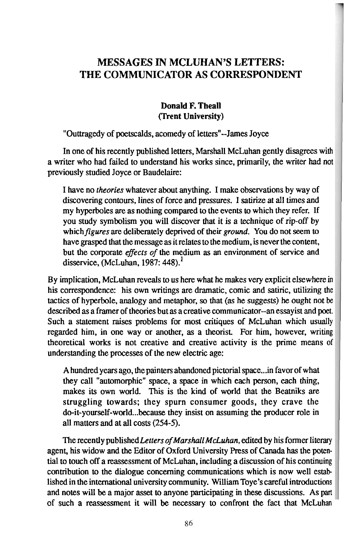# **MESSAGES IN MCLUHAN'S LETTERS: THE COMMUNICATOR AS CORRESPONDENT**

#### **Donald F. Theall (Trent University)**

### "Outtragedy of poetscalds, acomedy of letters"--James Joyce

In one of his recently published letters, Marshall McLuhan gently disagrees with a writer who had failed to understand his works since, primarily, the writer had not previously studied Joyce or Baudelaire:

I have no theories whatever about anything. I make observations by way of discovering contours, lines of force and pressures. I satirize at all times and my hyperboles are as nothing compared to the events to which they refer. If you study symbolism you will discover that it is a technique of rip-off by which figures are deliberately deprived of their ground. You do not seem to have grasped that the message as it relates to the medium, is never the content, but the corporate effects of the medium as an environment of service and disservice, (McLuhan, 1987:  $448$ ).<sup>1</sup>

By implication, McLuhan reveals to us here what he makes very explicit elsewhere in his correspondence: his own writings are dramatic, comic and satiric, utilizing the tactics of hyperbole, analogy and metaphor, so that (as he suggests) he ought not be described as a framer of theories but as a creative communicator--an essayist and poet. Such a statement raises problems for most critiques of McLuhan which usually regarded him, in one way or another, as a theorist. For him, however, writing theoretical works is not creative and creative activity is the prime means of understanding the processes of the new electric age:

A hundred years ago, the painters abandoned pictorial space ... in favor of what they call "automorphic" space, a space in which each person, each thing, makes its own world. This is the kind of world that the Beatniks are struggling towards; they spurn consumer goods, they crave the do-it-yourself-world ... because they insist on assuming the producer role in all matters and at all costs (254-5).

The recently published Letters of Marshall McLuhan, edited by his former literary agent, his widow and the Editor of Oxford University Press of Canada has the potential to touch off a reassessment of McLuhan, including a discussion of his continuing contribution to the dialogue concerning communications which is now well established in the international university community. William Toye's careful introductions and notes will be a major asset to anyone participating in these discussions. As part of such a reassessment it will be necessary to confront the fact that McLuhan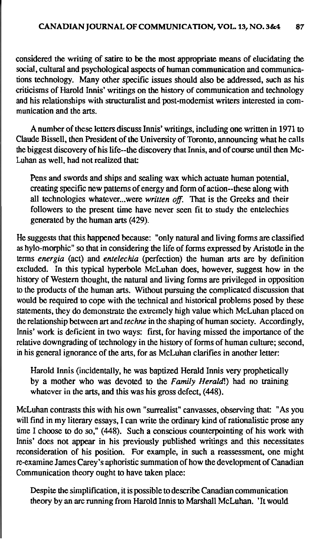considered the writing of satire to be the most appropriate means of elucidating the social, cultural and psychological aspects of human communication and communications technology. Many other specific issues should also be addressed, such as his criticisms of Harold Innis' writings on the history of communication and technology and his relationships with structuralist and post-modemist writers interested in communication and the arts.

Anumber of these letters discuss Innis' writings, including one written in 1971 to Claude Bissell, then President of the University of Toronto, announcing what he calls the biggest discovery of his life--the discovery that Innis, and of course until then Mc-Luhan as well, had not realized that

Pens and swords and ships and sealing wax which actuate human potential, creating specific new patterns of energy and form of action--these along with all technologies whatever...were written off. That is the Greeks and their followers to the present time have never seen fit to study the entelechies generated by the human arts (429).

He suggests that this happened because: "only natural and living forms are classified as hylo-morphic" so that in considering the life of forms expressed by Aristotle in the terms energia (act) and entelechia (perfection) the human arts are by definition excluded. In this typical hyperbole McLuhan does, however, suggest how in the history of Western thought, the natural and living forms are privileged in opposition to the products of the human arts. Without pursuing the complicated discussion that would be required to cope with the technical and historical problems posed by these statements, they do demonstrate the extremely high value which McLuhan placed on the relationship between art and techne in the shaping of human society. Accordingly, Innis' work is deficient in two ways: first, for having missed the importance of the relative downgrading of technology in the history of forms of human culture; second, in his general ignorance of the arts, for as McLuhan clarifies in another letter:

Harold Innis (incidentally, he was baptized Herald Innis very prophetically by a mother who was devoted to the Family Herald!) had no training whatever in the arts, and this was his gross defect, (448).

McLuhan contrasts this with his own "surrealist" canvasses, observing that: "As you will find in my literary essays. I can write the ordinary kind of rationalistic prose any time I choose to do so," (448). Such a conscious counterpointing of his work with Innis' does not appear in his previously published writings and this necessitates reconsideration of his position. For example, in such a reassessment, one might re-examine James Carey's aphoristic summation of how the development of Canadian Communication theory ought to have taken place:

Despite the simplification, it is possible to describe Canadian communication theory by an arc running from Harold Innis to Marshall McLuhan. 'It would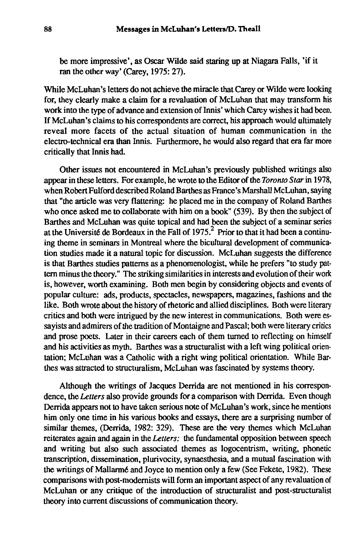be more impressive', as Oscar Wilde said staring up **at** Niagara Falls, 'if it ran the other way' (Carey, 1975: 27).

While McLuhan's letters do not achieve the miracle that Carey or Wilde were looking for, they clearly make a claim for a revaluation of McLuhan that may transform his work into the **type** of advance and extension of Innis' which Carey wishes it had been. If McLuhan's claims to his correspondents are correct, his approach would ultimately reveal more facets of the actual situation of human communication in the electro-technical era than Innis. Furthermore, he would also regard that era far more critically that Innis had

Other issues not encountered in McLuhan's previously published writings also appear in these letters. For example, he wrote to the Editor of the Toronto Star in 1978, when Robert Fulford described Roland Barthes as France's Marshall McLuhan, saying that "the article was very flattering: he placed me in the company of Roland Barthes who once asked me to collaborate with him on a book" (539). By then the subject of Barthes and McLuhan was quite topical and had been the subject of a seminar series at the Université de Bordeaux in the Fall of  $1975<sup>2</sup>$ . Prior to that it had been a continuing theme in seminars in Montreal where the bicultural development of communication studies made it a natural topic for discussion. McLuhan suggests the difference is that Barthes studies patterns as a phenomenologist, while he prefers **"to** study pattern minus the theory." The striking similarities in interests and evolution of their work is, however, worth examining. Both men begin by considering objects and events of popular culture: ads, products, spectacles, newspapers, magazines, fashions and the like. Both wrote about the history of rhetoric and allied disciplines. Both were literary critics and both were intrigued by the new interest in communications. Both were essayists and admirers of the tradition of Montaigne and Pascal; both were literary critics and prose poets. Later in their careers each of them turned to reflecting on himself and his activities as myth. Barthes was a structuralist with a left wing political orientation; McLuhan was a Catholic with a right wing political orientation. While **Bar**thes was attracted to structuralism, McLuhan was fascinated by systems theory.

Although the writings of Jacques Derrida are not mentioned in his correspondence, the Letters also provide grounds for a comparison with Derrida. Even though Demda appears not to have taken serious note of McLuhan's work, since he mentions him only one time in his various books and essays, there are a surprising number of similar themes, (Derrida, 1982: 329). These are the very themes which McLuhan reiterates again and again in the Letters: the fundamental opposition between speech and writing but also such associated themes as logocentrism, writing, phonetic transcription, dissemination, plurivocity, synaesthesia, and a mutual fascination with the writings of **Mallarm6** and Joyce to mention only a few (See Fekete, 1982). These comparisons with post-modemists will form an important aspect of any revaluation of McLuhan or any critique of the introduction of structuralist and post-structuralist theory into current discussions of communication theory.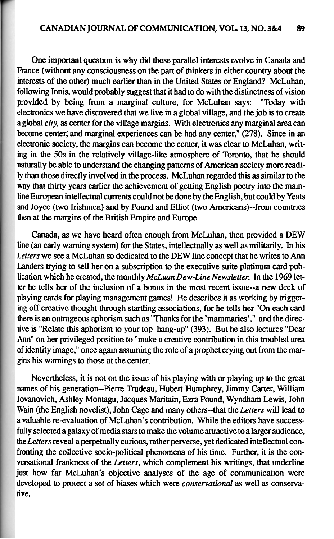One important question is why did these parallel interests evolve in Canada and France (without any consciousness on the part of thinkers in either country about the interests of the other) much earlier than in the United States or England? McLuhan, following Innis, would probably suggest that it had to do with the distinctness of vision provided by being from a marginal culture, for McLuhan says: "Today with electronics we have discovered that we live in a global village, and the job is to create a global city, as center for the village margins. With electronics any marginal area **can**  become center; and marginal experiences **can** be had any center," (278). Since in an electronic society, the margins can become the center, it was clear to McLuhan, writing in the 50s in the relatively village-like atmosphere of Toronto, that he should naturally be able to understand the changing patterns of American society more readily than those directly involved in the process. McLuhan regarded this as similar to the way that thirty years earlier the achievement of getting English poetry into the mainline European intellectual currents could not be done by the English, but could by Yeats and Joyce (two Irishmen) and by Pound and Elliot (two Americans)--from countries then at the margins of the British Empire and Europe.

Canada, as we have heard often enough from McLuhan, then provided a DEW line (an early warning system) for the States, intellectually as well as militarily. In his Letters we see a McLuhan so dedicated to the DEW line concept that he writes to Ann Landers trying to sell her on a subscription to the executive suite platinum card publication which he created, the monthly McLuan Dew-Line Newsletter. In the 1969 letter he tells her of the inclusion of a bonus in the most recent issue--a new deck of playing cards for playing management games! He describes it as working by triggering off creative thought through startling associations, for he tells her "On each card there is an outrageous aphorism such as "Thanks for the 'mammaries'." and the directive is "Relate this aphorism to your top hang-up" (393). But he also lectures "Dear Ann" on her privileged position to "make a creative contribution in this troubled area of identity image," once again assuming the role of a prophet crying out from the margins his warnings to those at the center.

Nevertheless, it is not on the issue of his playing with or playing up to the great names of his generation--Pierre Trudeau, Hubert Humphrey, Jimmy Carter, William Jovanovich, Ashley Montagu, Jacques Maritain, Ezra Pound, Wyndham Lewis, John Wain (the English novelist), John Cage and many others-that the Letters will lead to a valuable re-evaluation of McLuhan's contribution. While the editors have successfully selected a galaxy of media stars to make the volume attractive to a larger audience, the Letters reveal a perpetually curious, rather perverse, yet dedicated intellectual confronting the collective socio-political phenomena of his time. Further, it is the conversational frankness of the Letters, which complement his writings, that underline just how far McLuhan's objective analyses of the age of communication were developed to protect a set of biases which were conservational as well as conservative.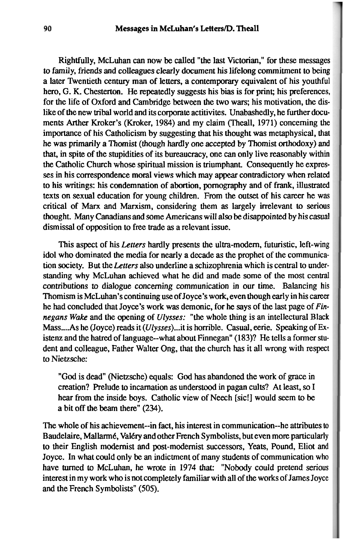Rightfully, McLuhan can now be called "the last Victorian," for these messages to family, friends and colleagues clearly document his lifelong commitment to being a later Twentieth century man of letters, a contemporary equivalent of his youthful hero, G. K. Chesterton. He repeatedly suggests his bias is for print; his preferences, for the life of Oxford and Cambridge between the two wars; his motivation, the dislike of the new tribal world and its corporate actitivites. Unabashedly, he further documents Arther Kroker's (Kroker, 1984) and my claim (Theall, 1971) concerning the importance of his Catholicism by suggesting that his thought was metaphysical, that he was primarily a Thomist (though hardly one accepted by Thomist orthodoxy) and that, in spite of the stupidities of its bureaucracy, one can only live reasonably within the Catholic Church whose spiritual mission is triumphant. Consequently he expresses in his correspondence moral views which may appear contradictory when related to his writings: his condemnation of abortion, pornography and of frank, illustrated texts on sexual education for young children. From the outset of his career he was critical of **Marx** and Marxism, considering them as largely irrelevant to serious thought. Many Canadians and some Americans will also be disappointed by his casual dismissal of opposition to free trade as a relevant issue.

This aspect of his Letters hardly presents the ultra-modem, futuristic, left-wing idol who dominated the media for nearly a decade as the prophet of the communication society. But the Letters also underline a schizophrenia which is central to understanding why McLuhan achieved what he did and made some of the most central contributions to dialogue concerning communication in our time. Balancing his Thomism is McLuhan's continuing use of Joyce's work, even though early in his career he had concluded that Joyce's work was demonic, for he says of the last page of **Fin**negans *Wake* and the opening of Ulysses: "the whole thing is an intellectural Black Mass .... As he (Joyce) reads it (Ulysses) ... it is horrible. Casual, eerie. Speaking of Existenz and the hatred of language--what about Finnegan" (183)? He tells a former student and colleague, Father Walter Ong, that the church has it all wrong with respect to Nietzsche:

"God is dead (Nietzsche) equals: God has abandoned the work of **grace** in creation? Prelude to incarnation **as** understood in pagan cults? At least, so I hear from the inside boys. Catholic view of Neech [sic!] would seem to be a bit off the beam there" (234).

The whole of his achievement--in fact, his interest in communication--he attributes to Baudelaire, Mallarmé, Valéry and other French Symbolists, but even more particularly to their English modernist and post-modernist successors, **Yeats,** Pound, Eliot and Joyce. In what could only be an indictment of many students of communication who have turned to McLuhan, he wrote in 1974 that: "Nobody could pretend serious interest in my work who is not completely familiar with all of the works of James Joyce and the French Symbolists" (505).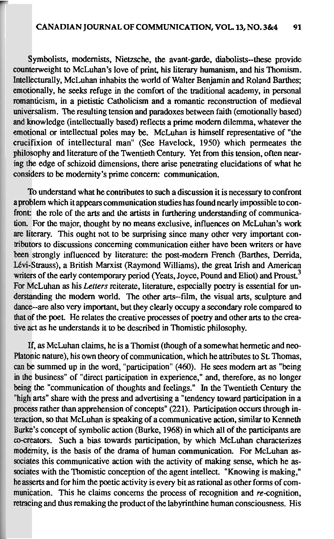Symbolists, modernists, Nietzsche, the avant-garde, diabolists--these provide counterweight to McLuhan's love of print, his literary humanism, and his Thomism, Intellecturally, McLuhan inhabits the world of Walter Benjamin and Roland Barthes: emotionally, he seeks refuge in the comfort of the traditional academy, in personal romanticism, in a pietistic Catholicism and a romantic reconstruction of medieval universalism. The resulting tension and paradoxes between faith (emotionally based) and knowledge (intellectually based) reflects a prime modern dilemma, whatever the emotional or intellectual poles may be. McLuhan is himself representative of "the crucifixion of intellectural man" (See Havelock, 1950) which permeates the philosophy and literature of the Twentieth Century. Yet from this tension, often nearing the edge of schizoid dimensions, there arise penetrating elucidations of what he considers to be modernity's prime concern: communication.

To understand what he contributes to such a discussion it is necessary to confront a problem which it appears communication studies has found nearly impossible to confront: the role of the arts and the artists in furthering understanding of communication. For the major, thought by no means exclusive, influences on McLuhan's work are literary. This ought not to be surprising since many other very important contributors to discussions concerning communication either have been writers or have been strongly influenced by literature: the post-modern French (Barthes, Derrida, Lévi-Strauss), a British Marxist (Raymond Williams), the great Irish and American writers of the early contemporary period (Yeats, Joyce, Pound and Eliot) and Proust.<sup>3</sup> For McLuhan as his Letters reiterate, literature, especially poetry is essential for understanding the modern world. The other arts--film, the visual arts, sculpture and dance--are also very important, but they clearly occupy a secondary role compared to that of the poet. He relates the creative processes of poetry and other arts to the creative act as he understands it to be described in Thomistic philosophy.

If, as McLuhan claims, he is a Thomist (though of a somewhat hermetic and neo-Platonic nature), his own theory of communication, which he attributes to St. Thomas, can be summed up in the word, "participation" (460). He sees modern art as "being in the business" of "direct participation in experience," and, therefore, as no longer being the "communication of thoughts and feelings." In the Twentieth Century the "high arts" share with the press and advertising a "tendency toward participation in a process rather than apprehension of concepts" (221). Participation occurs through interaction, so that McLuhan is speaking of a communicative action, similar to Kenneth Burke's concept of symbolic action (Burke, 1968) in which all of the participants are co-creators. Such a bias towards participation, by which McLuhan characterizes modernity, is the basis of the drama of human communication. For McLuhan associates this communicative action with the activity of making sense, which he associates with the Thomistic conception of the agent intellect. "Knowing is making," he asserts and for him the poetic activity is every bit as rational as other forms of communication. This he claims concerns the process of recognition and re-cognition. retracing and thus remaking the product of the labyrinthine human consciousness. His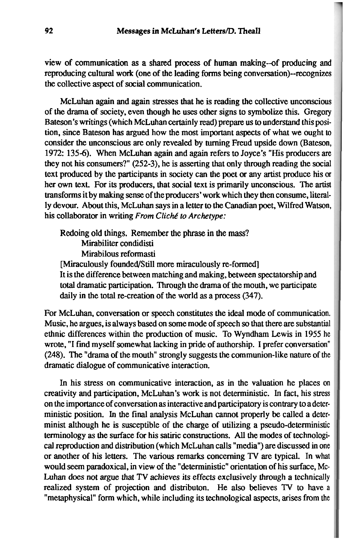view of communication as a shared process of human making--of producing and reproducing cultural work (one of the leading forms being convenation)--recognizes the collective aspect of social communication.

McLuhan again and again stresses that he is reading the collective unconscious of the drama of society, even though he uses other signs to symbolize this. Gregory Bateson's writings (which McLuhan certainly read) prepare us to understand this position, since Bateson has argued how the most important aspects of what we ought to consider the unconscious are only revealed by turning Freud upside down (Bateson, 1972: 135-6). When McLuhan again and again refers to Joyce's "His producers are they not his consumers?" (252-3), he is asserting that only through reading the social text produced by the participants in society can the poet or any artist produce his or her own text. For its producers, that social text is primarily unconscious. The artist transforms it by making sense of the producers' work which they then consume, literally devour. About this, McLuhan says in a letter to the Canadian poet, Wilfred Watson, his collaborator in writing From Cliché to Archetype:

Redoing old things. Remember the phrase in the mass? Mirabiliter condidisti Mirabilous reformasti [Miraculously founded/Still more miraculously re-formed] It is the difference between matching and making, between spectatorship and total dramatic participation. Through the drama of the mouth, we participate daily in the total re-creation of the world as a process (347).

For McLuhan, conversation or speech constitutes the ideal mode of communication. Music, he argues, is always based on some mode of speech so that there are substantial ethnic differences within the production of music. To Wyndham Lewis in 1955 he wrote, "I find myself somewhat lacking in pride of authorship. I prefer conversation" (248). The "drama of the mouth" strongly suggests the communion-like nature of the dramatic dialogue of communicative interaction.

In his stress on communicative interaction, as in the valuation he places on creativity and participation, McLuhan's work is not deterministic. In fact, his stress on the importance of conversation as interactive and participatory is contrary to a deterministic position. In the final analysis McLuhan cannot properly be called a determinist although he is susceptible of the charge of utilizing a pseudo-deterministic terminology as the swface for his satiric constructions. *All* the modes of technological reproduction and distribution (which McLuhan calls "media") are discussed in one or another of his letters. The various remarks concerning TV are typical. In what would seem paradoxical, in view of the "deterministic" orientation of his surface, **Mc-**Luhan does not argue that TV achieves its effects exclusively through a technically realized system of projection and distributon. He also believes TV to have a "metaphysical" form which, while including its technological aspects, arises from the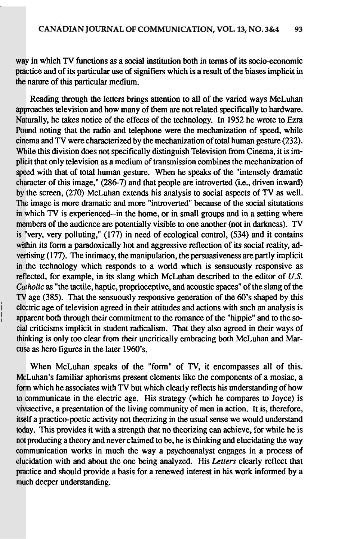way in which TV functions as a social institution both in terms of its socio-economic practice and of its particular use of signifiers which is a result of the biases implicit in the nature of this particular medium.

Reading through the letters brings attention to all of the varied ways McLuhan approaches television and how many of them are not related specifically to hardware. Naturally, he takes notice of the effects of the technology. In 1952 he wrote to Ezra Pound noting that the radio and telephone were the mechanization of speed, while cinema and  $\overline{TV}$  were characterized by the mechanization of total human gesture (232). While this division does not specifically distinguish Television from Cinema, it is implicit that only television as a medium of transmission combines the mechanization of speed with that of total human gesture. When he speaks of the "intensely dramatic character of this image," (286-7) and that people are introverted (i.e., driven inward) by the screen, (270) McLuhan extends his analysis to social aspects of TV as well. The image is more dramatic and more "introverted" because of the social situtations in which TV is experienced--in the home, or in small groups and in a setting where members of the audience are potentially visible to one another (not in darkness). TV is "very, very polluting," (177) in need of ecological control, (534) and it contains within its form a paradoxically hot and aggressive reflection of its social reality, advertising (177). The intimacy, the manipulation, the persuasiveness are partly implicit in the technology which responds to a world which is sensuously responsive as reflected, for example, in its slang which McLuhan described to the editor of  $U.S.$ Catholic as "the tactile, haptic, proprioceptive, and acoustic spaces" of the slang of the TV age (385). That the sensuously responsive generation of the 60's shaped by this electric age of television agreed in their attitudes and actions with such an analysis is apparent both through their commitment to the romance of the "hippie" and to the social criticisms implicit in student radicalism. That they also agreed in their ways of thinking is only too clear from their uncritically embracing both McLuhan and Marcuse as hero figures in the later 1960's.

When McLuhan speaks of the "form" of TV, it encompasses all of this. McLuhan's familiar aphorisms present elements like the components of a mosiac, a form which he associates with TV but which clearly reflects his understanding of how to communicate in the electric age. His strategy (which he compares to Joyce) is vivisective, a presentation of the living community of men in action. It is, therefore, itself a practico-poetic activity not theorizing in the usual sense we would understand today. This provides it with a strength that no theorizing can achieve, for while he is not producing a theory and never claimed to be, he is thinking and elucidating the way communication works in much the way a psychoanalyst engages in a process of elucidation with and about the one being analyzed. His Letters clearly reflect that practice and should provide a basis for a renewed interest in his work informed by a much deeper understanding.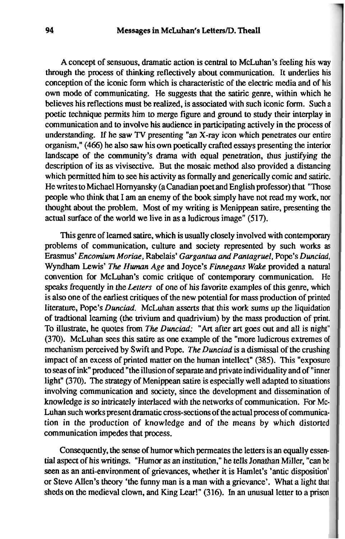A concept of sensuous, dramatic action is central to McLuhan's feeling his way through the process of thinking reflectively about communication. It underlies his conception of the iconic form which is characteristic of the electric media and of his own mode of communicating. He suggests that the satiric genre, within which he believes his reflections must be realized, is associated with such iconic form. Such a poetic technique permits him to merge figure and ground to study their interplay in communication and to involve his audience in participating actively in the process of understanding. If he saw **TV** presenting "an X-ray icon which penetrates our entire organism," (466) he also saw his own poetically crafted essays presenting the interior landscape of the community's drama with equal penetration, thus justifying the description of its as vivisective. But the mosaic method also provided a distancing which permitted him to **see** his activity as formally and generically comic and satiric. He writes to Michael Hornyansky (a Canadian poet and English professor) that "Those people who think that I am an enemy of the **book** simply have not read my work, nor thought about the problem. Most of my writing is Menippean satire, presenting the actual surface of the world we live in as a ludicrous image" (517).

This genre of learned satire, which is usually closely involved with contemporary problems of communication, culture and society represented by such works as Erasmus' *Encomium Moriae,* Rabelais' *Gargantua and Panfagruel,* Pope's *Dunciad,*  Wyndham Lewis' *The Human Age* and Joyce's *Finnegans* Wake provided a natural convention for McLuhan's comic critique of contemporary communication. He speaks frequently in the *Letters* of one of his favorite examples of this genre, which is also one of the earliest critiques of the new potential for mass production of printed literature, Pope's *Dunciad.* McLuhan asserts that this work sums up the liquidation of tradtional learning (the trivium and quadrivium) by the mass production of print. To illustrate, he quotes from The *Dunciad:* "Art after *art* goes out and all is night" (370). McLuhan sees this satire as one example of the "more ludicrous extremes of mechanism perceived by Swift and Pope. The *Dunciad* is a dismissal of the crushing impact of an excess of printed matter on the human intellect" (385). This "exposure to seas of **ink"** produced "the illusion of separate and private individuality and of "inner light" (370). The strategy of Menippean satire is especially well adapted to situations involving communication and society, since the development and dissemination of knowledge is so intricately interlaced with the networks of communication. For Mc-Luhan such works present dramatic cross-sections of the actual process of communication in the production of knowledge and of the means by which distorted communication impedes that process.

Consequently, the sense of humor which permeates the letters is an equally essential aspect of his writings. "Humor as an institution," he tells Jonathan Miller, "can be seen as an anti-environment of grievances, whether it is Hamlet's 'antic disposition' or Steve Allen's theory 'the funny man is a man with a grievance'. What a light that sheds on the medieval clown, and **King** Lear!" (316). In an unusual letter to a prison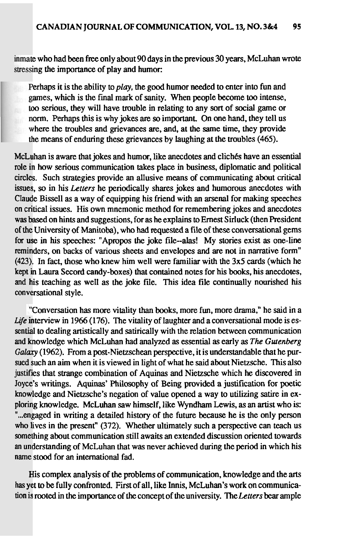<sup>e</sup>who had been free only about **90** days in the previous **30** years, McLuhan wrote stressing the importance of play and humor:

Perhaps it is the ability to  $play$ , the good humor needed to enter into fun and ames, which is the final mark of sanity. When people become **too** intense, too serious, they will have trouble in relating to any sort of social game or norm. Perhaps this is why jokes are so important. On one hand, they tell us where the troubles and grievances are, and, at the same time, they provide the means of enduring these grievances by laughing at the troubles (465).

McLuhan is aware that jokes and humor, like anecdotes and clichés have an essential role in how serious communication takes place in business, diplomatic and political circles. Such strategies provide an allusive means of communicating about critical issues, so in his Letters he periodically shares jokes and humorous anecdotes with Claude Bissell as a way of equipping his friend with an arsenal for making speeches on critical issues. His own mnemonic method for remembering jokes and anecdotes was based on hints and suggestions, for as he explains to Ernest Sirluck (then President of the University of Manitoba), who had requested a file of these conversational gems for use in his speeches: "Apropos the joke file--alas! My stories exist as one-line reminders, on backs of various sheets and envelopes and are not in narrative form" **(423),**  , In fact, those who knew him well were familiar with the 3x5 **cards** (which he kept in Laura Secord candy-boxes) that contained notes for his books, his anecdotes, and his teaching as well as the joke file. This idea file continually nourished his conversational style.

Life interview in 1966 (176). The vitality of laughter and a conversational mode is essential to dealing artistically and satirically with the relation between communication and knowledge which McLuhan had analyzed as essential as early as The Gutenberg Galaxy (1962). From a post-Nietzschean perspective, it is understandable that he pursued such an aim when it is viewed in light of what he said about Nietzsche. This also justifies that strange combination of Aquinas and Nietzsche which he discovered in Joyce 's writings. Aquinas' Philosophy of Being provided a justification for poetic know ledge and Nietzsche's negation of value opened a way to utilizing satire in exploring knowledge. McLuhan saw himself, like Wyndham Lewis, as an artist who is: "... engaged in writing a detailed history of the future because he is the only person who lives in the present" (372). Whether ultimately such a perspective can teach us something about communication still awaits an extended discussion oriented towards an understanding of McLuhan that was never achieved during the period in which his name stood for an international fad. Conversation has more vitality than books, more fun, more drama," he said in a

His complex analysis of the problems of communication, knowledge and the arts has yet to be fully confronted. First of all, like Innis, McLuhan's work on communication is rooted in the importance of the concept of the university. The Letters bear ample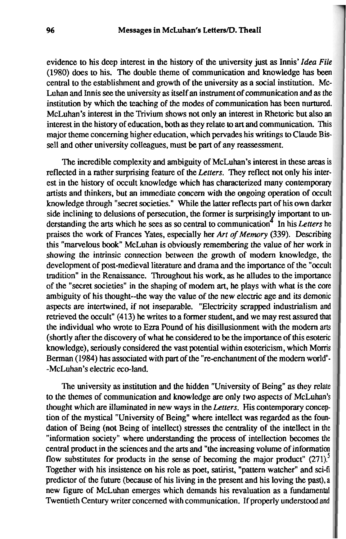evidence to his deep interest in the history of the university just as Innis' Idea File (1980) does to his. The double theme of communication and knowledge has been central to the establishment and growth of the university as a social institution. Mc-Luhan and Innis **see** the university as itself an instrument of communication and as the institution by which the teaching of the modes of communication has been nurtured. McLuhan's interest in the Trivium shows not only an interest in Rhetoric but also an interest in the history of education, both as they relate **to** art and communication. This major theme concerning higher education, which pervades his writings to Claude Bissell and other university colleagues, must be **part** of any reassessment.

The incredible complexity and ambiguity of McLuhan's interest in these areas is reflected in a rather surprising feature of the Letters. They reflect not only his interest in the history of occult knowledge which has characterized many contemporary artists and thinkers, but an immediate concern with the ongoing operation of occult knowledge through "secret societies." While the latter reflects part of his own darker side inclining to delusions of persecution, the former is surprisingly important to un-<br>derstanding the arts which he sees as so central to communication<sup>4</sup> In his Letters he praises the work of Frances Yates, especially her Art of Memory (339). Describing this "marvelous book" McLuhan is obviously remembering the value of her work in showing the intrinsic connection between the growth of modem knowledge, the development of post-medieval literature and drama and the importance of the "occult tradition" in the Renaissance. Throughout his work, as he alludes to the importance of the "secret societies" in the shaping of modem art, he plays with what is the core ambiguity of his thought--the way the value of the new electric age and its demonic aspects are intertwined, if not inseparable. "Electricity scrapped industrialism and retrieved the occult" (413) he writes to a former student, and we may rest assured that the individual who wrote to Ezra Pound of his disillusionment with the modem arts (shortly after the discovery of what he considered to be the importance of this esoteric knowledge), seriously considered the vast potential within esotericism, which Moms Berman (1984) has associated with part of the "re-enchantment of the modern world"--McLuhan's electric eco-land.

The university as institution and the hidden "University of Being" as they relate to the themes of communication and knowledge are only two aspects of McLuhan's thought which are illuminated in new ways in the Letters. His contemporary conception of the mystical "University of Being" where intellect was regarded as the foundation of Being (not Being of intellect) stresses the centrality of the intellect in the "information society" where understanding the process of intellection becomes the central product in the sciences and the arts and "the increasing volume of information flow substitutes for products in the sense of becoming the major product"  $(271)$ <sup>5</sup> Together with his insistence on his role as poet, satirist, "pattern watcher" and sci-fi predictor of the future (because of his living in the present and his loving the past), a new figure of McLuhan emerges which demands his revaluation as a fundamental Twentieth Century writer concerned with communication. If properly understood and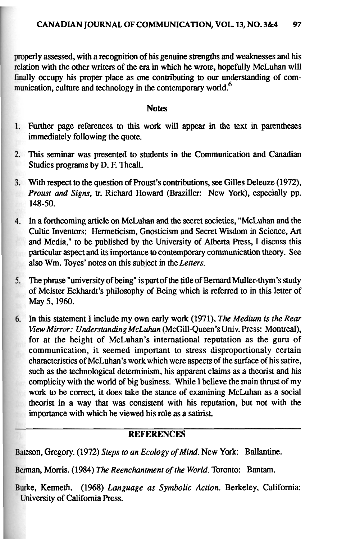properly assessed, with a recognition of his genuine strengths and weaknesses and his tion with the other writers of the era in which he **wrote,** hopefully McLuhan will finally occupy his proper place as one contributing to our understanding of communication, culture and technology in the contemporary world.<sup>6</sup>

#### **Notes**

- Further page references to this work will appear in the text in parentheses immediately following the quote.
- This seminar was presented to students in the Communication and Canadian Studies programs by D. F. Theall.
- With respect to the question of Proust's contributions, see Gilles Deleuze (1972), *Proust* and *Signs,* tr. Richard Howard (Braziller: New York), especially pp. 148-50.
- In a forthcoming article on McLuhan and the secret societies, "McLuhan and the Cultic Inventors: Hermeticism, Gnosticism and Secret Wisdom in Science, Art and Media," to be published by the University of Alberta Press, I discuss this particular aspect and its importance **to** contemporary communication theory. See also Wm. Toyes' notes on this subject in the *Letters.*
- The phrase "university of being" is part of the title of Bernard Muller-thym's study  $5.$ of Meister Eckhardt's philosophy of Being which is referred to in this letter of May 5,1960.
- In this statement I include my own early work (1971), The *Medium is the Rear* 6. Viav *Mirror: Understanding McLuhan* (McGill-Queen's Univ. Press: Montreal), for at the height of McLuhan's international reputation as the guru of communication, it seemed important to stress disproportionaly certain characteristics of McLuhan's work which were **aspects** of the surface of his satire, such as the technological determinism, his apparent claims as a theorist and his complicity with the world of big business. While I believe the main thrust of my work to be correct, it does take the stance of examining McLuhan as a social theorist in a way that was consistent with his reputation, but not with the importance with which he viewed his role **as** a satirist.

## **REFERENCES**

Bateson, Gregory. (1972) *Steps to an Ecology of Mind.* New York: Ballantine.

man, Mom's. (1984) The *Reenchantment of the World.* Toronto: Bantam.

ke, Kenneth. (1968) *Language* as *Symbolic Action.* Berkeley, California: niversity of California Press.